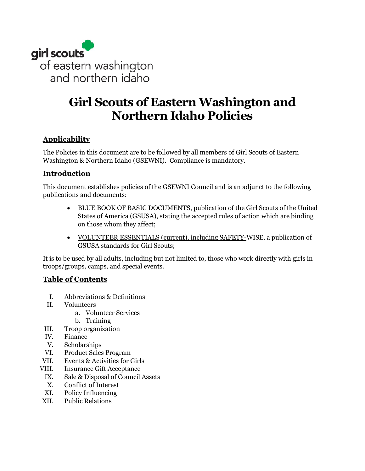

# **Girl Scouts of Eastern Washington and Northern Idaho Policies**

### **Applicability**

The Policies in this document are to be followed by all members of Girl Scouts of Eastern Washington & Northern Idaho (GSEWNI). Compliance is mandatory.

### **Introduction**

This document establishes policies of the GSEWNI Council and is an adjunct to the following publications and documents:

- BLUE BOOK OF BASIC DOCUMENTS, publication of the Girl Scouts of the United States of America (GSUSA), stating the accepted rules of action which are binding on those whom they affect;
- VOLUNTEER ESSENTIALS (current), including SAFETY-WISE, a publication of GSUSA standards for Girl Scouts;

It is to be used by all adults, including but not limited to, those who work directly with girls in troops/groups, camps, and special events.

### **Table of Contents**

- I. Abbreviations & Definitions
- II. Volunteers
	- a. Volunteer Services
	- b. Training
- III. Troop organization
- IV. Finance
- V. Scholarships
- VI. Product Sales Program
- VII. Events & Activities for Girls
- VIII. Insurance Gift Acceptance
	- IX. Sale & Disposal of Council Assets
	- X. Conflict of Interest
	- XI. Policy Influencing
- XII. Public Relations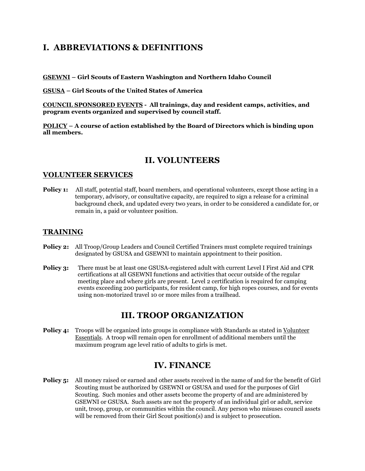## **I. ABBREVIATIONS & DEFINITIONS**

**GSEWNI – Girl Scouts of Eastern Washington and Northern Idaho Council**

**GSUSA – Girl Scouts of the United States of America**

**COUNCIL SPONSORED EVENTS - All trainings, day and resident camps, activities, and program events organized and supervised by council staff.**

**POLICY – A course of action established by the Board of Directors which is binding upon all members.**

### **II. VOLUNTEERS**

### **VOLUNTEER SERVICES**

**Policy 1:** All staff, potential staff, board members, and operational volunteers, except those acting in a temporary, advisory, or consultative capacity, are required to sign a release for a criminal background check, and updated every two years, in order to be considered a candidate for, or remain in, a paid or volunteer position.

### **TRAINING**

- **Policy 2:** All Troop/Group Leaders and Council Certified Trainers must complete required trainings designated by GSUSA and GSEWNI to maintain appointment to their position.
- **Policy 3:** There must be at least one GSUSA-registered adult with current Level I First Aid and CPR certifications at all GSEWNI functions and activities that occur outside of the regular meeting place and where girls are present. Level 2 certification is required for camping events exceeding 200 participants, for resident camp, for high ropes courses, and for events using non-motorized travel 10 or more miles from a trailhead.

### **III. TROOP ORGANIZATION**

**Policy 4:** Troops will be organized into groups in compliance with Standards as stated in Volunteer Essentials. A troop will remain open for enrollment of additional members until the maximum program age level ratio of adults to girls is met.

### **IV. FINANCE**

**Policy 5:** All money raised or earned and other assets received in the name of and for the benefit of Girl Scouting must be authorized by GSEWNI or GSUSA and used for the purposes of Girl Scouting. Such monies and other assets become the property of and are administered by GSEWNI or GSUSA. Such assets are not the property of an individual girl or adult, service unit, troop, group, or communities within the council. Any person who misuses council assets will be removed from their Girl Scout position(s) and is subject to prosecution.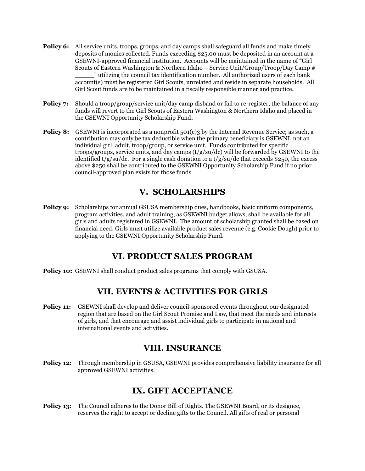- **Policy 6:** All service units, troops, groups, and day camps shall safeguard all funds and make timely deposits of monies collected. Funds exceeding \$25.00 must be deposited in an account at a GSEWNI-approved financial institution. Accounts will be maintained in the name of "Girl Scouts of Eastern Washington & Northern Idaho – Service Unit/Group/Troop/Day Camp # \_\_\_\_\_" utilizing the council tax identification number. All authorized users of each bank account(s) must be registered Girl Scouts, unrelated and reside in separate households. All Girl Scout funds are to be maintained in a fiscally responsible manner and practice.
- **Policy 7:** Should a troop/group/service unit/day camp disband or fail to re-register, the balance of any funds will revert to the Girl Scouts of Eastern Washington & Northern Idaho and placed in the GSEWNI Opportunity Scholarship Fund**.**
- **Policy 8:** GSEWNI is incorporated as a nonprofit 501(c)3 by the Internal Revenue Service; as such, a contribution may only be tax deductible when the primary beneficiary is GSEWNI, not an individual girl, adult, troop/group, or service unit. Funds contributed for specific troops/groups, service units, and day camps  $(t/g/su/dc)$  will be forwarded by GSEWNI to the identified t/g/su/dc. For a single cash donation to a t/g/su/dc that exceeds \$250, the excess above \$250 shall be contributed to the GSEWNI Opportunity Scholarship Fund if no prior council-approved plan exists for those funds.

## **V. SCHOLARSHIPS**

**Policy 9:** Scholarships for annual GSUSA membership dues, handbooks, basic uniform components, program activities, and adult training, as GSEWNI budget allows, shall be available for all girls and adults registered in GSEWNI. The amount of scholarship granted shall be based on financial need. Girls must utilize available product sales revenue (e.g. Cookie Dough) prior to applying to the GSEWNI Opportunity Scholarship Fund.

# **VI. PRODUCT SALES PROGRAM**

**Policy 10:** GSEWNI shall conduct product sales programs that comply with GSUSA.

# **VII. EVENTS & ACTIVITIES FOR GIRLS**

**Policy 11:** GSEWNI shall develop and deliver council-sponsored events throughout our designated region that are based on the Girl Scout Promise and Law, that meet the needs and interests of girls, and that encourage and assist individual girls to participate in national and international events and activities.

### **VIII. INSURANCE**

**Policy 12**: Through membership in GSUSA, GSEWNI provides comprehensive liability insurance for all approved GSEWNI activities.

# **IX. GIFT ACCEPTANCE**

**Policy 13:** The Council adheres to the Donor Bill of Rights. The GSEWNI Board, or its designee, reserves the right to accept or decline gifts to the Council. All gifts of real or personal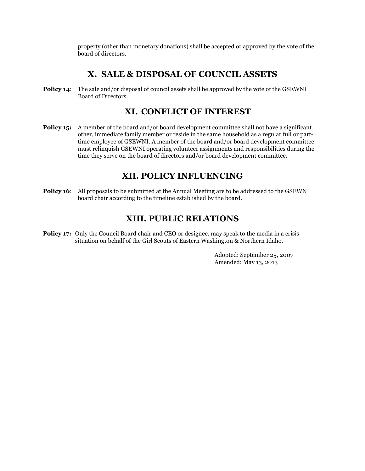property (other than monetary donations) shall be accepted or approved by the vote of the board of directors.

## **X. SALE & DISPOSAL OF COUNCIL ASSETS**

**Policy 14:** The sale and/or disposal of council assets shall be approved by the vote of the GSEWNI Board of Directors.

# **XI. CONFLICT OF INTEREST**

**Policy 15:** A member of the board and/or board development committee shall not have a significant other, immediate family member or reside in the same household as a regular full or parttime employee of GSEWNI. A member of the board and/or board development committee must relinquish GSEWNI operating volunteer assignments and responsibilities during the time they serve on the board of directors and/or board development committee.

# **XII. POLICY INFLUENCING**

**Policy 16:** All proposals to be submitted at the Annual Meeting are to be addressed to the GSEWNI board chair according to the timeline established by the board.

# **XIII. PUBLIC RELATIONS**

**Policy 17:** Only the Council Board chair and CEO or designee, may speak to the media in a crisis situation on behalf of the Girl Scouts of Eastern Washington & Northern Idaho.

> Adopted: September 25, 2007 Amended: May 13, 2013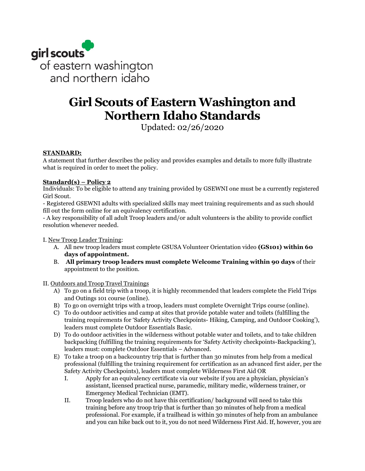

# **Girl Scouts of Eastern Washington and Northern Idaho Standards**

Updated: 02/26/2020

### **STANDARD:**

A statement that further describes the policy and provides examples and details to more fully illustrate what is required in order to meet the policy.

### **Standard(s) – Policy 2**

Individuals: To be eligible to attend any training provided by GSEWNI one must be a currently registered Girl Scout.

- Registered GSEWNI adults with specialized skills may meet training requirements and as such should fill out the form online for an equivalency certification.

- A key responsibility of all adult Troop leaders and/or adult volunteers is the ability to provide conflict resolution whenever needed.

I. New Troop Leader Training:

- A. All new troop leaders must complete GSUSA Volunteer Orientation video **(GS101) within 60 days of appointment.**
- B. **All primary troop leaders must complete Welcome Training within 90 days** of their appointment to the position.

II. Outdoors and Troop Travel Trainings

- A) To go on a field trip with a troop, it is highly recommended that leaders complete the Field Trips and Outings 101 course (online).
- B) To go on overnight trips with a troop, leaders must complete Overnight Trips course (online).
- C) To do outdoor activities and camp at sites that provide potable water and toilets (fulfilling the training requirements for 'Safety Activity Checkpoints- Hiking, Camping, and Outdoor Cooking'), leaders must complete Outdoor Essentials Basic.
- D) To do outdoor activities in the wilderness without potable water and toilets, and to take children backpacking (fulfilling the training requirements for 'Safety Activity checkpoints-Backpacking'), leaders must: complete Outdoor Essentials – Advanced.
- E) To take a troop on a backcountry trip that is further than 30 minutes from help from a medical professional (fulfilling the training requirement for certification as an advanced first aider, per the Safety Activity Checkpoints), leaders must complete Wilderness First Aid OR
	- I. Apply for an equivalency certificate via our website if you are a physician, physician's assistant, licensed practical nurse, paramedic, military medic, wilderness trainer, or Emergency Medical Technician (EMT).
	- II. Troop leaders who do not have this certification/ background will need to take this training before any troop trip that is further than 30 minutes of help from a medical professional. For example, if a trailhead is within 30 minutes of help from an ambulance and you can hike back out to it, you do not need Wilderness First Aid. If, however, you are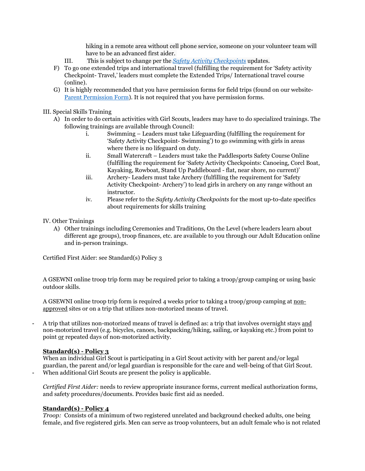hiking in a remote area without cell phone service, someone on your volunteer team will have to be an advanced first aider.

- III. This is subject to change per the *[Safety Activity Checkpoints](https://www.gsewni.org/content/dam/girlscouts-gsewni/documents/Policies/2019%20Edition%20SAC@7.1.2019.pdf)* updates.
- F) To go one extended trips and international travel (fulfilling the requirement for 'Safety activity Checkpoint- Travel,' leaders must complete the Extended Trips/ International travel course (online).
- G) It is highly recommended that you have permission forms for field trips (found on our website-[Parent Permission Form\)](https://www.gsewni.org/content/dam/girlscouts-gsewni/documents/Troop%20and%20Service%20Unit/Parent_Permission_Form.pdf). It is not required that you have permission forms.

#### III. Special Skills Training

- A) In order to do certain activities with Girl Scouts, leaders may have to do specialized trainings. The following trainings are available through Council:
	- i. Swimming Leaders must take Lifeguarding (fulfilling the requirement for 'Safety Activity Checkpoint- Swimming') to go swimming with girls in areas where there is no lifeguard on duty.
	- ii. Small Watercraft Leaders must take the Paddlesports Safety Course Online (fulfilling the requirement for 'Safety Activity Checkpoints: Canoeing, Corcl Boat, Kayaking, Rowboat, Stand Up Paddleboard - flat, near shore, no current)'
	- iii. Archery- Leaders must take Archery (fulfilling the requirement for 'Safety Activity Checkpoint- Archery') to lead girls in archery on any range without an instructor.
	- iv. Please refer to the *Safety Activity Checkpoints* for the most up-to-date specifics about requirements for skills training
- IV. Other Trainings
	- A) Other trainings including Ceremonies and Traditions, On the Level (where leaders learn about different age groups), troop finances, etc. are available to you through our Adult Education online and in-person trainings.

Certified First Aider: see Standard(s) Policy 3

A GSEWNI online troop trip form may be required prior to taking a troop/group camping or using basic outdoor skills.

A GSEWNI online troop trip form is required 4 weeks prior to taking a troop/group camping at nonapproved sites or on a trip that utilizes non-motorized means of travel.

- A trip that utilizes non-motorized means of travel is defined as: a trip that involves overnight stays and non-motorized travel (e.g. bicycles, canoes, backpacking/hiking, sailing, or kayaking etc.) from point to point or repeated days of non-motorized activity.

#### **Standard(s) - Policy 3**

When an individual Girl Scout is participating in a Girl Scout activity with her parent and/or legal guardian, the parent and/or legal guardian is responsible for the care and well-being of that Girl Scout. When additional Girl Scouts are present the policy is applicable.

*Certified First Aider:* needs to review appropriate insurance forms, current medical authorization forms, and safety procedures/documents. Provides basic first aid as needed.

### **Standard(s) - Policy 4**

*Troop:* Consists of a minimum of two registered unrelated and background checked adults, one being female, and five registered girls. Men can serve as troop volunteers, but an adult female who is not related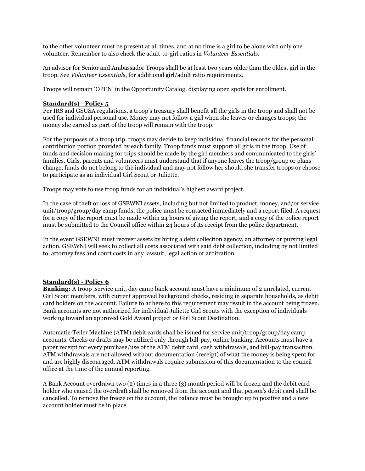to the other volunteer must be present at all times, and at no time is a girl to be alone with only one volunteer. Remember to also check the adult-to-girl ratios in *Volunteer Essentials*.

An advisor for Senior and Ambassador Troops shall be at least two years older than the oldest girl in the troop. See *Volunteer Essentials*, for additional girl/adult ratio requirements.

Troops will remain 'OPEN' in the Opportunity Catalog, displaying open spots for enrollment.

#### **Standard(s) - Policy 5**

Per IRS and GSUSA regulations, a troop's treasury shall benefit all the girls in the troop and shall not be used for individual personal use. Money may not follow a girl when she leaves or changes troops; the money she earned as part of the troop will remain with the troop.

For the purposes of a troop trip, troops may decide to keep individual financial records for the personal contribution portion provided by each family. Troop funds must support all girls in the troop. Use of funds and decision making for trips should be made by the girl members and communicated to the girls' families. Girls, parents and volunteers must understand that if anyone leaves the troop/group or plans change, funds do not belong to the individual and may not follow her should she transfer troops or choose to participate as an individual Girl Scout or Juliette.

Troops may vote to use troop funds for an individual's highest award project.

In the case of theft or loss of GSEWNI assets, including but not limited to product, money, and/or service unit/troop/group/day camp funds, the police must be contacted immediately and a report filed. A request for a copy of the report must be made within 24 hours of giving the report, and a copy of the police report must be submitted to the Council office within 24 hours of its receipt from the police department.

In the event GSEWNI must recover assets by hiring a debt collection agency, an attorney or pursing legal action, GSEWNI will seek to collect all costs associated with said debt collection, including by not limited to, attorney fees and court costs in any lawsuit, legal action or arbitration.

#### **Standard(s) - Policy 6**

**Banking:** A troop ,service unit, day camp bank account must have a minimum of 2 unrelated, current Girl Scout members, with current approved background checks, residing in separate households, as debit card holders on the account. Failure to adhere to this requirement may result in the account being frozen. Bank accounts are not authorized for individual Juliette Girl Scouts with the exception of individuals working toward an approved Gold Award project or Girl Scout Destination.

Automatic-Teller Machine (ATM) debit cards shall be issued for service unit/troop/group/day camp accounts. Checks or drafts may be utilized only through bill-pay, online banking. Accounts must have a paper receipt for every purchase/use of the ATM debit card, cash withdrawals, and bill-pay transaction. ATM withdrawals are not allowed without documentation (receipt) of what the money is being spent for and are highly discouraged. ATM withdrawals require submission of this documentation to the council office at the time of the annual reporting.

A Bank Account overdrawn two (2) times in a three (3) month period will be frozen and the debit card holder who caused the overdraft shall be removed from the account and that person's debit card shall be cancelled. To remove the freeze on the account, the balance must be brought up to positive and a new account holder must be in place.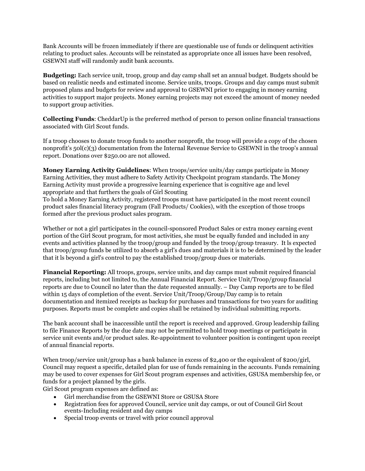Bank Accounts will be frozen immediately if there are questionable use of funds or delinquent activities relating to product sales. Accounts will be reinstated as appropriate once all issues have been resolved, GSEWNI staff will randomly audit bank accounts.

**Budgeting:** Each service unit, troop, group and day camp shall set an annual budget. Budgets should be based on realistic needs and estimated income. Service units, troops. Groups and day camps must submit proposed plans and budgets for review and approval to GSEWNI prior to engaging in money earning activities to support major projects. Money earning projects may not exceed the amount of money needed to support group activities.

**Collecting Funds**: CheddarUp is the preferred method of person to person online financial transactions associated with Girl Scout funds.

If a troop chooses to donate troop funds to another nonprofit, the troop will provide a copy of the chosen nonprofit's 50l(c)(3) documentation from the Internal Revenue Service to GSEWNI in the troop's annual report. Donations over \$250.00 are not allowed.

**Money Earning Activity Guidelines**: When troops/service units/day camps participate in Money Earning Activities, they must adhere to Safety Activity Checkpoint program standards. The Money Earning Activity must provide a progressive learning experience that is cognitive age and level appropriate and that furthers the goals of Girl Scouting

To hold a Money Earning Activity, registered troops must have participated in the most recent council product sales financial literacy program (Fall Products/ Cookies), with the exception of those troops formed after the previous product sales program.

Whether or not a girl participates in the council-sponsored Product Sales or extra money earning event portion of the Girl Scout program, for most activities, she must be equally funded and included in any events and activities planned by the troop/group and funded by the troop/group treasury. It ls expected that troop/group funds be utilized to absorb a girl's dues and materials it is to be determined by the leader that it ls beyond a girl's control to pay the established troop/group dues or materials.

**Financial Reporting:** All troops, groups, service units, and day camps must submit required financial reports, including but not limited to, the Annual Financial Report. Service Unit/Troop/group financial reports are due to Council no later than the date requested annually. – Day Camp reports are to be filed within 15 days of completion of the event. Service Unit/Troop/Group/Day camp is to retain documentation and itemized receipts as backup for purchases and transactions for two years for auditing purposes. Reports must be complete and copies shall be retained by individual submitting reports.

The bank account shall be inaccessible until the report is received and approved. Group leadership failing to file Finance Reports by the due date may not be permitted to hold troop meetings or participate in service unit events and/or product sales. Re-appointment to volunteer position is contingent upon receipt of annual financial reports.

When troop/service unit/group has a bank balance in excess of \$2,400 or the equivalent of \$200/girl, Council may request a specific, detailed plan for use of funds remaining in the accounts. Funds remaining may be used to cover expenses for Girl Scout program expenses and activities, GSUSA membership fee, or funds for a project planned by the girls.

Girl Scout program expenses are defined as:

- Girl merchandise from the GSEWNI Store or GSUSA Store
- Registration fees for approved Council, service unit day camps, or out of Council Girl Scout events-Including resident and day camps
- Special troop events or travel with prior council approval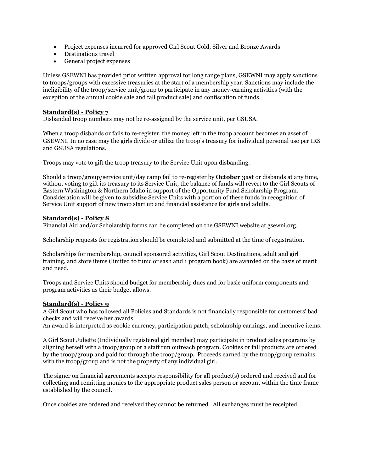- Project expenses incurred for approved Girl Scout Gold, Silver and Bronze Awards
- Destinations travel
- General project expenses

Unless GSEWNI has provided prior written approval for long range plans, GSEWNI may apply sanctions to troops/groups with excessive treasuries at the start of a membership year. Sanctions may include the ineligibility of the troop/service unit/group to participate in any monev-earning activities (with the exception of the annual cookie sale and fall product sale) and confiscation of funds.

#### **Standard(s) - Policy 7**

Disbanded troop numbers may not be re-assigned by the service unit, per GSUSA.

When a troop disbands or fails to re-register, the money left in the troop account becomes an asset of GSEWNI. In no case may the girls divide or utilize the troop's treasury for individual personal use per IRS and GSUSA regulations.

Troops may vote to gift the troop treasury to the Service Unit upon disbanding.

Should a troop/group/service unit/day camp fail to re-register by **October 31st** or disbands at any time, without voting to gift its treasury to its Service Unit, the balance of funds will revert to the Girl Scouts of Eastern Washington & Northern Idaho in support of the Opportunity Fund Scholarship Program. Consideration will be given to subsidize Service Units with a portion of these funds in recognition of Service Unit support of new troop start up and financial assistance for girls and adults.

#### **Standard(s) - Policy 8**

Financial Aid and/or Scholarship forms can be completed on the GSEWNI website at gsewni.org.

Scholarship requests for registration should be completed and submitted at the time of registration.

Scholarships for membership, council sponsored activities, Girl Scout Destinations, adult and girl training, and store items (limited to tunic or sash and 1 program book) are awarded on the basis of merit and need.

Troops and Service Units should budget for membership dues and for basic uniform components and program activities as their budget allows.

### **Standard(s) - Policy 9**

A Girl Scout who has followed all Policies and Standards is not financially responsible for customers' bad checks and will receive her awards.

An award is interpreted as cookie currency, participation patch, scholarship earnings, and incentive items.

A Girl Scout Juliette (Individually registered girl member) may participate in product sales programs by aligning herself with a troop/group or a staff run outreach program. Cookies or fall products are ordered by the troop/group and paid for through the troop/group. Proceeds earned by the troop/group remains with the troop/group and is not the property of any individual girl.

The signer on financial agreements accepts responsibility for all product(s) ordered and received and for collecting and remitting monies to the appropriate product sales person or account within the time frame established by the council.

Once cookies are ordered and received they cannot be returned. All exchanges must be receipted.